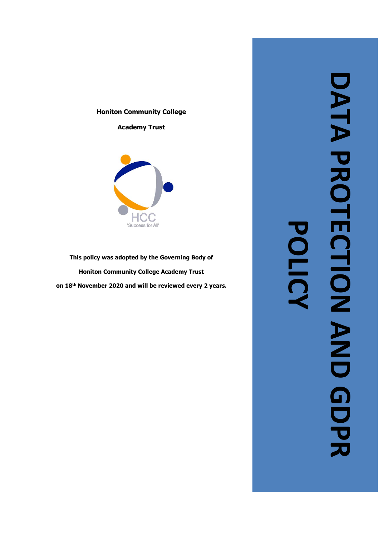### **Honiton Community College**

**Academy Trust**



**This policy was adopted by the Governing Body of Honiton Community College Academy Trust on 18th November 2020 and will be reviewed every 2 years .**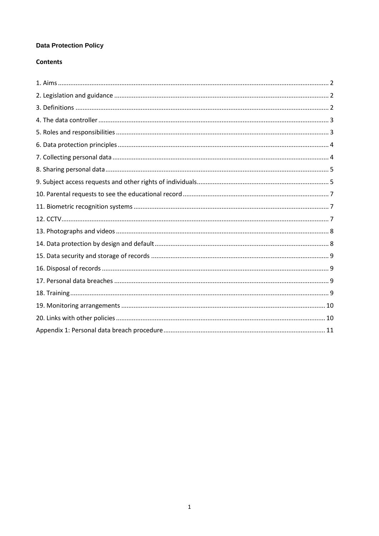# **Data Protection Policy**

# **Contents**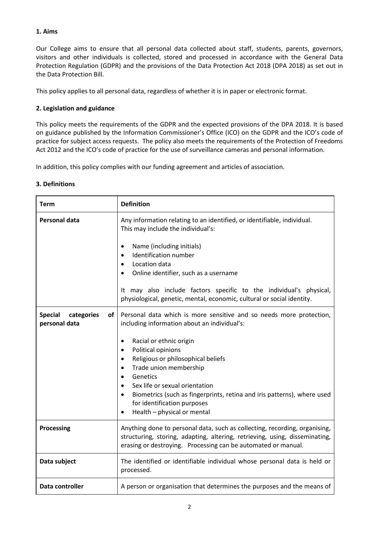# **1. Aims**

Our College aims to ensure that all personal data collected about staff, students, parents, governors, visitors and other individuals is collected, stored and processed in accordance with the [General Data](http://data.consilium.europa.eu/doc/document/ST-5419-2016-INIT/en/pdf)  [Protection Regulation \(GDPR\)](http://data.consilium.europa.eu/doc/document/ST-5419-2016-INIT/en/pdf) and the provisions of the Data Protection Act 2018 (DPA 2018) as set out in the [Data Protection Bill.](https://publications.parliament.uk/pa/bills/cbill/2017-2019/0153/18153.pdf)

This policy applies to all personal data, regardless of whether it is in paper or electronic format.

# **2. Legislation and guidance**

This policy meets the requirements of the GDPR and the expected provisions of the DPA 2018. It is based on guidance published by the Information Commissioner's Office (ICO) on the [GDPR](https://ico.org.uk/for-organisations/guide-to-the-general-data-protection-regulation-gdpr/) and the ICO's [code of](https://ico.org.uk/media/for-organisations/documents/2014223/subject-access-code-of-practice.pdf)  [practice for subject access requests.](https://ico.org.uk/media/for-organisations/documents/2014223/subject-access-code-of-practice.pdf) The policy also meets the requirements of th[e Protection of Freedoms](https://www.legislation.gov.uk/ukpga/2012/9/part/1/chapter/2)  [Act 2012](https://www.legislation.gov.uk/ukpga/2012/9/part/1/chapter/2) and the ICO's [code of practice](https://ico.org.uk/media/for-organisations/documents/1542/cctv-code-of-practice.pdf) for the use of surveillance cameras and personal information.

In addition, this policy complies with our funding agreement and articles of association.

# **3. Definitions**

| <b>Term</b>                                         | <b>Definition</b>                                                                                                                                                                                                                                                                                                                                                                                                                                                  |
|-----------------------------------------------------|--------------------------------------------------------------------------------------------------------------------------------------------------------------------------------------------------------------------------------------------------------------------------------------------------------------------------------------------------------------------------------------------------------------------------------------------------------------------|
| <b>Personal data</b>                                | Any information relating to an identified, or identifiable, individual.<br>This may include the individual's:<br>Name (including initials)<br>$\bullet$<br>Identification number<br>$\bullet$<br>Location data<br>Online identifier, such as a username<br>It may also include factors specific to the individual's physical,<br>physiological, genetic, mental, economic, cultural or social identity.                                                            |
| of<br><b>Special</b><br>categories<br>personal data | Personal data which is more sensitive and so needs more protection,<br>including information about an individual's:<br>Racial or ethnic origin<br>$\bullet$<br>Political opinions<br>$\bullet$<br>Religious or philosophical beliefs<br>Trade union membership<br>Genetics<br>Sex life or sexual orientation<br>Biometrics (such as fingerprints, retina and iris patterns), where used<br>$\bullet$<br>for identification purposes<br>Health - physical or mental |
| Processing                                          | Anything done to personal data, such as collecting, recording, organising,<br>structuring, storing, adapting, altering, retrieving, using, disseminating,<br>erasing or destroying. Processing can be automated or manual.                                                                                                                                                                                                                                         |
| Data subject                                        | The identified or identifiable individual whose personal data is held or<br>processed.                                                                                                                                                                                                                                                                                                                                                                             |
| Data controller                                     | A person or organisation that determines the purposes and the means of                                                                                                                                                                                                                                                                                                                                                                                             |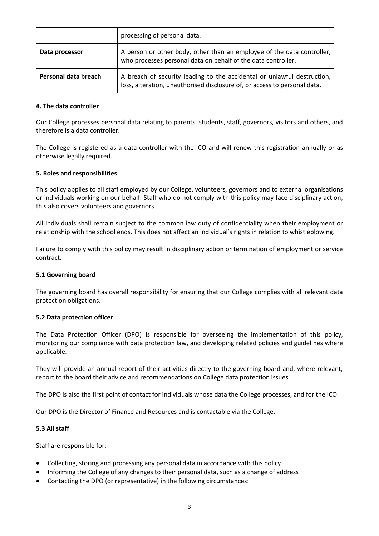|                      | processing of personal data.                                                                                                                         |
|----------------------|------------------------------------------------------------------------------------------------------------------------------------------------------|
| Data processor       | A person or other body, other than an employee of the data controller,<br>who processes personal data on behalf of the data controller.              |
| Personal data breach | A breach of security leading to the accidental or unlawful destruction,<br>loss, alteration, unauthorised disclosure of, or access to personal data. |

### **4. The data controller**

Our College processes personal data relating to parents, students, staff, governors, visitors and others, and therefore is a data controller.

The College is registered as a data controller with the ICO and will renew this registration annually or as otherwise legally required.

### **5. Roles and responsibilities**

This policy applies to all staff employed by our College, volunteers, governors and to external organisations or individuals working on our behalf. Staff who do not comply with this policy may face disciplinary action, this also covers volunteers and governors.

All individuals shall remain subject to the common law duty of confidentiality when their employment or relationship with the school ends. This does not affect an individual's rights in relation to whistleblowing.

Failure to comply with this policy may result in disciplinary action or termination of employment or service contract.

### **5.1 Governing board**

The governing board has overall responsibility for ensuring that our College complies with all relevant data protection obligations.

### **5.2 Data protection officer**

The Data Protection Officer (DPO) is responsible for overseeing the implementation of this policy, monitoring our compliance with data protection law, and developing related policies and guidelines where applicable.

They will provide an annual report of their activities directly to the governing board and, where relevant, report to the board their advice and recommendations on College data protection issues.

The DPO is also the first point of contact for individuals whose data the College processes, and for the ICO.

Our DPO is the Director of Finance and Resources and is contactable via the College.

### **5.3 All staff**

Staff are responsible for:

- Collecting, storing and processing any personal data in accordance with this policy
- Informing the College of any changes to their personal data, such as a change of address
- Contacting the DPO (or representative) in the following circumstances: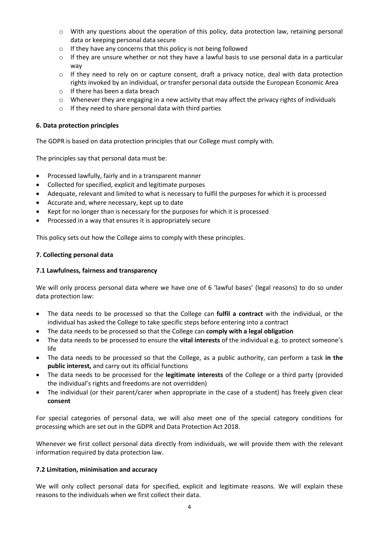- $\circ$  With any questions about the operation of this policy, data protection law, retaining personal data or keeping personal data secure
- o If they have any concerns that this policy is not being followed
- $\circ$  If they are unsure whether or not they have a lawful basis to use personal data in a particular way
- $\circ$  If they need to rely on or capture consent, draft a privacy notice, deal with data protection rights invoked by an individual, or transfer personal data outside the European Economic Area
- o If there has been a data breach
- $\circ$  Whenever they are engaging in a new activity that may affect the privacy rights of individuals
- o If they need to share personal data with third parties

### **6. Data protection principles**

The GDPR is based on data protection principles that our College must comply with.

The principles say that personal data must be:

- Processed lawfully, fairly and in a transparent manner
- Collected for specified, explicit and legitimate purposes
- Adequate, relevant and limited to what is necessary to fulfil the purposes for which it is processed
- Accurate and, where necessary, kept up to date
- Kept for no longer than is necessary for the purposes for which it is processed
- Processed in a way that ensures it is appropriately secure

This policy sets out how the College aims to comply with these principles.

### **7. Collecting personal data**

### **7.1 Lawfulness, fairness and transparency**

We will only process personal data where we have one of 6 'lawful bases' (legal reasons) to do so under data protection law:

- The data needs to be processed so that the College can **fulfil a contract** with the individual, or the individual has asked the College to take specific steps before entering into a contract
- The data needs to be processed so that the College can **comply with a legal obligation**
- The data needs to be processed to ensure the **vital interests** of the individual e.g. to protect someone's life
- The data needs to be processed so that the College, as a public authority, can perform a task **in the public interest,** and carry out its official functions
- The data needs to be processed for the **legitimate interests** of the College or a third party (provided the individual's rights and freedoms are not overridden)
- The individual (or their parent/carer when appropriate in the case of a student) has freely given clear **consent**

For special categories of personal data, we will also meet one of the special category conditions for processing which are set out in the GDPR and Data Protection Act 2018.

Whenever we first collect personal data directly from individuals, we will provide them with the relevant information required by data protection law.

### **7.2 Limitation, minimisation and accuracy**

We will only collect personal data for specified, explicit and legitimate reasons. We will explain these reasons to the individuals when we first collect their data.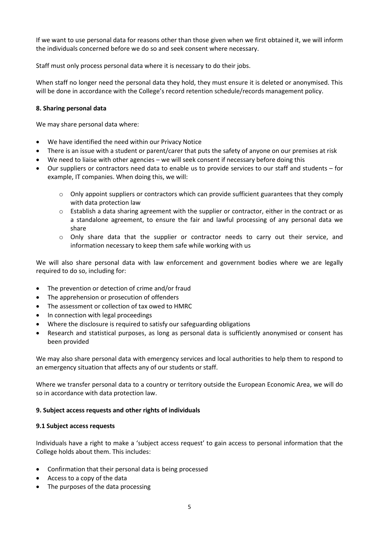If we want to use personal data for reasons other than those given when we first obtained it, we will inform the individuals concerned before we do so and seek consent where necessary.

Staff must only process personal data where it is necessary to do their jobs.

When staff no longer need the personal data they hold, they must ensure it is deleted or anonymised. This will be done in accordance with the College's record retention schedule/records management policy.

### **8. Sharing personal data**

We may share personal data where:

- We have identified the need within our Privacy Notice
- There is an issue with a student or parent/carer that puts the safety of anyone on our premises at risk
- We need to liaise with other agencies we will seek consent if necessary before doing this
- Our suppliers or contractors need data to enable us to provide services to our staff and students for example, IT companies. When doing this, we will:
	- $\circ$  Only appoint suppliers or contractors which can provide sufficient guarantees that they comply with data protection law
	- o Establish a data sharing agreement with the supplier or contractor, either in the contract or as a standalone agreement, to ensure the fair and lawful processing of any personal data we share
	- o Only share data that the supplier or contractor needs to carry out their service, and information necessary to keep them safe while working with us

We will also share personal data with law enforcement and government bodies where we are legally required to do so, including for:

- The prevention or detection of crime and/or fraud
- The apprehension or prosecution of offenders
- The assessment or collection of tax owed to HMRC
- In connection with legal proceedings
- Where the disclosure is required to satisfy our safeguarding obligations
- Research and statistical purposes, as long as personal data is sufficiently anonymised or consent has been provided

We may also share personal data with emergency services and local authorities to help them to respond to an emergency situation that affects any of our students or staff.

Where we transfer personal data to a country or territory outside the European Economic Area, we will do so in accordance with data protection law.

### **9. Subject access requests and other rights of individuals**

### **9.1 Subject access requests**

Individuals have a right to make a 'subject access request' to gain access to personal information that the College holds about them. This includes:

- Confirmation that their personal data is being processed
- Access to a copy of the data
- The purposes of the data processing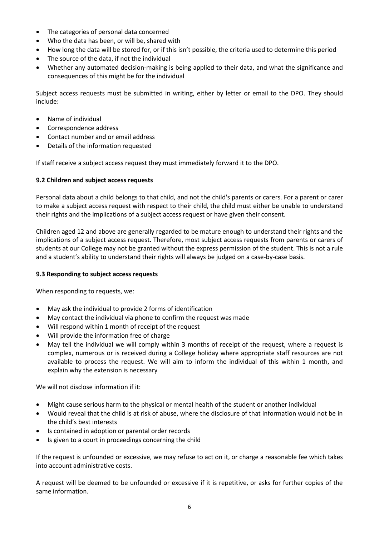- The categories of personal data concerned
- Who the data has been, or will be, shared with
- How long the data will be stored for, or if this isn't possible, the criteria used to determine this period
- The source of the data, if not the individual
- Whether any automated decision-making is being applied to their data, and what the significance and consequences of this might be for the individual

Subject access requests must be submitted in writing, either by letter or email to the DPO. They should include:

- Name of individual
- Correspondence address
- Contact number and or email address
- Details of the information requested

If staff receive a subject access request they must immediately forward it to the DPO.

# **9.2 Children and subject access requests**

Personal data about a child belongs to that child, and not the child's parents or carers. For a parent or carer to make a subject access request with respect to their child, the child must either be unable to understand their rights and the implications of a subject access request or have given their consent.

Children aged 12 and above are generally regarded to be mature enough to understand their rights and the implications of a subject access request. Therefore, most subject access requests from parents or carers of students at our College may not be granted without the express permission of the student. This is not a rule and a student's ability to understand their rights will always be judged on a case-by-case basis.

# **9.3 Responding to subject access requests**

When responding to requests, we:

- May ask the individual to provide 2 forms of identification
- May contact the individual via phone to confirm the request was made
- Will respond within 1 month of receipt of the request
- Will provide the information free of charge
- May tell the individual we will comply within 3 months of receipt of the request, where a request is complex, numerous or is received during a College holiday where appropriate staff resources are not available to process the request. We will aim to inform the individual of this within 1 month, and explain why the extension is necessary

We will not disclose information if it:

- Might cause serious harm to the physical or mental health of the student or another individual
- Would reveal that the child is at risk of abuse, where the disclosure of that information would not be in the child's best interests
- Is contained in adoption or parental order records
- Is given to a court in proceedings concerning the child

If the request is unfounded or excessive, we may refuse to act on it, or charge a reasonable fee which takes into account administrative costs.

A request will be deemed to be unfounded or excessive if it is repetitive, or asks for further copies of the same information.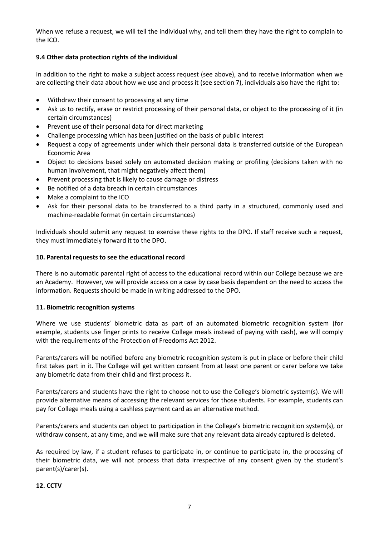When we refuse a request, we will tell the individual why, and tell them they have the right to complain to the ICO.

# **9.4 Other data protection rights of the individual**

In addition to the right to make a subject access request (see above), and to receive information when we are collecting their data about how we use and process it (see section 7), individuals also have the right to:

- Withdraw their consent to processing at any time
- Ask us to rectify, erase or restrict processing of their personal data, or object to the processing of it (in certain circumstances)
- Prevent use of their personal data for direct marketing
- Challenge processing which has been justified on the basis of public interest
- Request a copy of agreements under which their personal data is transferred outside of the European Economic Area
- Object to decisions based solely on automated decision making or profiling (decisions taken with no human involvement, that might negatively affect them)
- Prevent processing that is likely to cause damage or distress
- Be notified of a data breach in certain circumstances
- Make a complaint to the ICO
- Ask for their personal data to be transferred to a third party in a structured, commonly used and machine-readable format (in certain circumstances)

Individuals should submit any request to exercise these rights to the DPO. If staff receive such a request, they must immediately forward it to the DPO.

### **10. Parental requests to see the educational record**

There is no automatic parental right of access to the educational record within our College because we are an Academy. However, we will provide access on a case by case basis dependent on the need to access the information. Requests should be made in writing addressed to the DPO.

### **11. Biometric recognition systems**

Where we use students' biometric data as part of an automated biometric recognition system (for example, students use finger prints to receive College meals instead of paying with cash), we will comply with the requirements of th[e Protection of Freedoms Act 2012.](https://www.legislation.gov.uk/ukpga/2012/9/section/26)

Parents/carers will be notified before any biometric recognition system is put in place or before their child first takes part in it. The College will get written consent from at least one parent or carer before we take any biometric data from their child and first process it.

Parents/carers and students have the right to choose not to use the College's biometric system(s). We will provide alternative means of accessing the relevant services for those students. For example, students can pay for College meals using a cashless payment card as an alternative method.

Parents/carers and students can object to participation in the College's biometric recognition system(s), or withdraw consent, at any time, and we will make sure that any relevant data already captured is deleted.

As required by law, if a student refuses to participate in, or continue to participate in, the processing of their biometric data, we will not process that data irrespective of any consent given by the student's parent(s)/carer(s).

### **12. CCTV**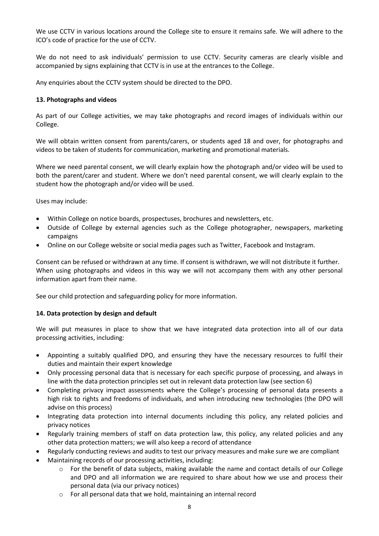We use CCTV in various locations around the College site to ensure it remains safe. We will adhere to the ICO's [code of practice](https://ico.org.uk/media/for-organisations/documents/1542/cctv-code-of-practice.pdf) for the use of CCTV.

We do not need to ask individuals' permission to use CCTV. Security cameras are clearly visible and accompanied by signs explaining that CCTV is in use at the entrances to the College.

Any enquiries about the CCTV system should be directed to the DPO.

### **13. Photographs and videos**

As part of our College activities, we may take photographs and record images of individuals within our College.

We will obtain written consent from parents/carers, or students aged 18 and over, for photographs and videos to be taken of students for communication, marketing and promotional materials.

Where we need parental consent, we will clearly explain how the photograph and/or video will be used to both the parent/carer and student. Where we don't need parental consent, we will clearly explain to the student how the photograph and/or video will be used.

Uses may include:

- Within College on notice boards, prospectuses, brochures and newsletters, etc.
- Outside of College by external agencies such as the College photographer, newspapers, marketing campaigns
- Online on our College website or social media pages such as Twitter, Facebook and Instagram.

Consent can be refused or withdrawn at any time. If consent is withdrawn, we will not distribute it further. When using photographs and videos in this way we will not accompany them with any other personal information apart from their name.

See our child protection and safeguarding policy for more information.

# **14. Data protection by design and default**

We will put measures in place to show that we have integrated data protection into all of our data processing activities, including:

- Appointing a suitably qualified DPO, and ensuring they have the necessary resources to fulfil their duties and maintain their expert knowledge
- Only processing personal data that is necessary for each specific purpose of processing, and always in line with the data protection principles set out in relevant data protection law (see section 6)
- Completing privacy impact assessments where the College's processing of personal data presents a high risk to rights and freedoms of individuals, and when introducing new technologies (the DPO will advise on this process)
- Integrating data protection into internal documents including this policy, any related policies and privacy notices
- Regularly training members of staff on data protection law, this policy, any related policies and any other data protection matters; we will also keep a record of attendance
- Regularly conducting reviews and audits to test our privacy measures and make sure we are compliant
- Maintaining records of our processing activities, including:
	- $\circ$  For the benefit of data subjects, making available the name and contact details of our College and DPO and all information we are required to share about how we use and process their personal data (via our privacy notices)
	- o For all personal data that we hold, maintaining an internal record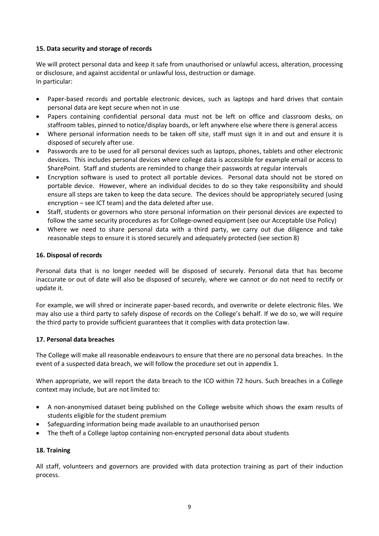# **15. Data security and storage of records**

We will protect personal data and keep it safe from unauthorised or unlawful access, alteration, processing or disclosure, and against accidental or unlawful loss, destruction or damage. In particular:

- Paper-based records and portable electronic devices, such as laptops and hard drives that contain personal data are kept secure when not in use
- Papers containing confidential personal data must not be left on office and classroom desks, on staffroom tables, pinned to notice/display boards, or left anywhere else where there is general access
- Where personal information needs to be taken off site, staff must sign it in and out and ensure it is disposed of securely after use.
- Passwords are to be used for all personal devices such as laptops, phones, tablets and other electronic devices. This includes personal devices where college data is accessible for example email or access to SharePoint. Staff and students are reminded to change their passwords at regular intervals
- Encryption software is used to protect all portable devices. Personal data should not be stored on portable device. However, where an individual decides to do so they take responsibility and should ensure all steps are taken to keep the data secure. The devices should be appropriately secured (using encryption – see ICT team) and the data deleted after use.
- Staff, students or governors who store personal information on their personal devices are expected to follow the same security procedures as for College-owned equipment (see our Acceptable Use Policy)
- Where we need to share personal data with a third party, we carry out due diligence and take reasonable steps to ensure it is stored securely and adequately protected (see section 8)

### **16. Disposal of records**

Personal data that is no longer needed will be disposed of securely. Personal data that has become inaccurate or out of date will also be disposed of securely, where we cannot or do not need to rectify or update it.

For example, we will shred or incinerate paper-based records, and overwrite or delete electronic files. We may also use a third party to safely dispose of records on the College's behalf. If we do so, we will require the third party to provide sufficient guarantees that it complies with data protection law.

### **17. Personal data breaches**

The College will make all reasonable endeavours to ensure that there are no personal data breaches. In the event of a suspected data breach, we will follow the procedure set out in appendix 1.

When appropriate, we will report the data breach to the ICO within 72 hours. Such breaches in a College context may include, but are not limited to:

- A non-anonymised dataset being published on the College website which shows the exam results of students eligible for the student premium
- Safeguarding information being made available to an unauthorised person
- The theft of a College laptop containing non-encrypted personal data about students

# **18. Training**

All staff, volunteers and governors are provided with data protection training as part of their induction process.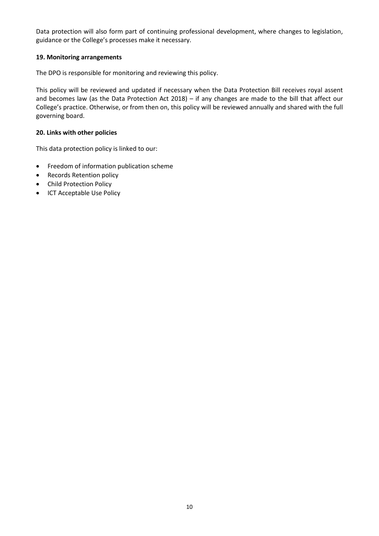Data protection will also form part of continuing professional development, where changes to legislation, guidance or the College's processes make it necessary.

## **19. Monitoring arrangements**

The DPO is responsible for monitoring and reviewing this policy.

This policy will be reviewed and updated if necessary when the Data Protection Bill receives royal assent and becomes law (as the Data Protection Act 2018) – if any changes are made to the bill that affect our College's practice. Otherwise, or from then on, this policy will be reviewed annually and shared with the full governing board.

### **20. Links with other policies**

This data protection policy is linked to our:

- Freedom of information publication scheme
- Records Retention policy
- Child Protection Policy
- ICT Acceptable Use Policy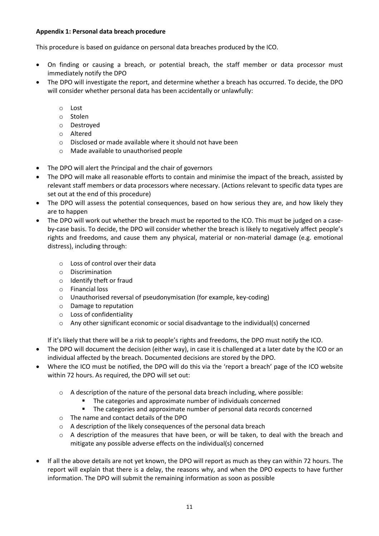## **Appendix 1: Personal data breach procedure**

This procedure is based o[n guidance on personal data breaches](https://ico.org.uk/for-organisations/guide-to-the-general-data-protection-regulation-gdpr/personal-data-breaches/) produced by the ICO.

- On finding or causing a breach, or potential breach, the staff member or data processor must immediately notify the DPO
- The DPO will investigate the report, and determine whether a breach has occurred. To decide, the DPO will consider whether personal data has been accidentally or unlawfully:
	- o Lost
	- o Stolen
	- o Destroyed
	- o Altered
	- o Disclosed or made available where it should not have been
	- o Made available to unauthorised people
- The DPO will alert the Principal and the chair of governors
- The DPO will make all reasonable efforts to contain and minimise the impact of the breach, assisted by relevant staff members or data processors where necessary. (Actions relevant to specific data types are set out at the end of this procedure)
- The DPO will assess the potential consequences, based on how serious they are, and how likely they are to happen
- The DPO will work out whether the breach must be reported to the ICO. This must be judged on a caseby-case basis. To decide, the DPO will consider whether the breach is likely to negatively affect people's rights and freedoms, and cause them any physical, material or non-material damage (e.g. emotional distress), including through:
	- $\circ$  Loss of control over their data
	- o Discrimination
	- o Identify theft or fraud
	- o Financial loss
	- o Unauthorised reversal of pseudonymisation (for example, key-coding)
	- o Damage to reputation
	- o Loss of confidentiality
	- o Any other significant economic or social disadvantage to the individual(s) concerned

If it's likely that there will be a risk to people's rights and freedoms, the DPO must notify the ICO.

- The DPO will document the decision (either way), in case it is challenged at a later date by the ICO or an individual affected by the breach. Documented decisions are stored by the DPO.
- Where the ICO must be notified, the DPO will do this via the ['report a breach' page of the](https://ico.org.uk/for-organisations/report-a-breach/) ICO website within 72 hours. As required, the DPO will set out:
	- $\circ$  A description of the nature of the personal data breach including, where possible:
		- The categories and approximate number of individuals concerned
		- The categories and approximate number of personal data records concerned
	- o The name and contact details of the DPO
	- o A description of the likely consequences of the personal data breach
	- o A description of the measures that have been, or will be taken, to deal with the breach and mitigate any possible adverse effects on the individual(s) concerned
- If all the above details are not yet known, the DPO will report as much as they can within 72 hours. The report will explain that there is a delay, the reasons why, and when the DPO expects to have further information. The DPO will submit the remaining information as soon as possible